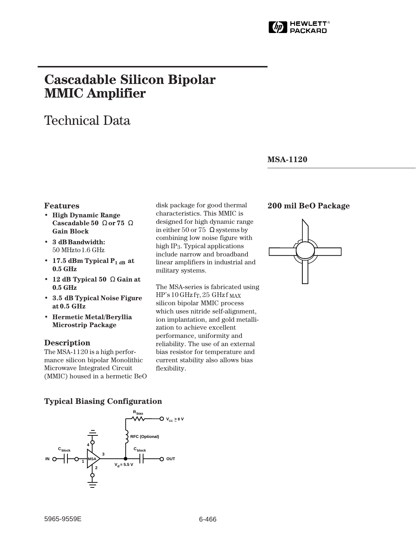

# **Cascadable Silicon Bipolar MMIC␣ Amplifier**

# Technical Data

## **MSA-1120**

#### **Features**

- **High Dynamic Range Cascadable 50␣** Ω **or 75␣** Ω **Gain Block**
- **3␣ dB Bandwidth:** 50␣ MHz to 1.6␣ GHz
- 17.5 dBm Typical  $P_{1 dB}$  at **0.5␣ GHz**
- **12 dB Typical 50␣** Ω **Gain at 0.5␣ GHz**
- **3.5␣ dB Typical Noise Figure at 0.5␣ GHz**
- **Hermetic Metal/Beryllia Microstrip Package**

### **Description**

The MSA-1120 is a high performance silicon bipolar Monolithic Microwave Integrated Circuit (MMIC) housed in a hermetic BeO disk package for good thermal characteristics. This MMIC is designed for high dynamic range in either 50 or 75  $\,\Omega$  systems by combining low noise figure with high IP3. Typical applications include narrow and broadband linear amplifiers in industrial and military systems.

The MSA-series is fabricated using  $HP's 10 GHz$  f<sub>T</sub>, 25 GHz f  $_{MAX}$ silicon bipolar MMIC process which uses nitride self-alignment, ion implantation, and gold metallization to achieve excellent performance, uniformity and reliability. The use of an external bias resistor for temperature and current stability also allows bias flexibility.

# **200 mil BeO Package**



### **Typical Biasing Configuration**

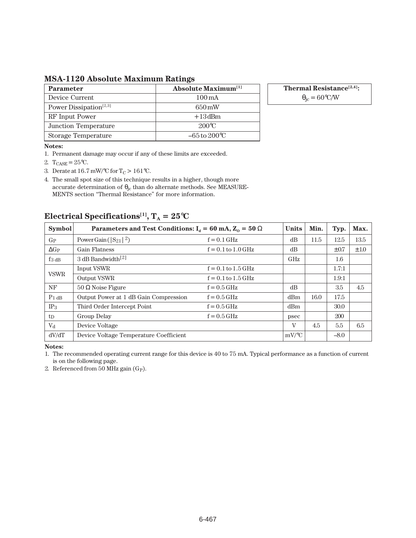**MSA-1120 Absolute Maximum Ratings**

| <b>Parameter</b>                   | <b>Absolute Maximum</b> <sup>[1]</sup> |
|------------------------------------|----------------------------------------|
| Device Current                     | $100 \,\mathrm{mA}$                    |
| Power Dissipation <sup>[2,3]</sup> | $650 \,\mathrm{mW}$                    |
| RF Input Power                     | $+13$ dBm                              |
| Junction Temperature               | $200^{\circ}C$                         |
| <b>Storage Temperature</b>         | $-65$ to $200^{\circ}$ C               |

**Thermal Resistance[2,4]:**

 $\theta_{\rm jc} = 60\degree{\rm C/W}$ 

#### **Notes:**

1. Permanent damage may occur if any of these limits are exceeded.

- 2.  $T_{\text{CASE}} = 25^{\circ}C$ .
- 3. Derate at 16.7 mW/°C for T<sub>C</sub> > 161°C.

4. The small spot size of this technique results in a higher, though more accurate determination of  $\theta_{\rm lc}$  than do alternate methods. See MEASURE-MENTS section "Thermal Resistance" for more information.

# **Electrical Specifications<sup>[1]</sup>,**  $T_A = 25^{\circ}C$

| <b>Symbol</b>       | Parameters and Test Conditions: $I_d = 60$ mA, $Z_0 = 50 \Omega$ | <b>Units</b>           | Min.       | Typ. | Max.      |           |
|---------------------|------------------------------------------------------------------|------------------------|------------|------|-----------|-----------|
| $G_{P}$             | Power Gain ( $ S_{21} ^2$ )                                      | $f = 0.1$ GHz          | dB         | 11.5 | 12.5      | 13.5      |
| $\Delta G$ P        | <b>Gain Flatness</b>                                             | $f = 0.1$ to $1.0$ GHz | dB         |      | $\pm 0.7$ | $\pm 1.0$ |
| $f_{3\,\text{dB}}$  | 3 dB Bandwidth <sup>[2]</sup>                                    |                        | <b>GHz</b> |      | 1.6       |           |
|                     | Input VSWR                                                       | $f = 0.1$ to $1.5$ GHz |            |      | 1.7:1     |           |
| <b>VSWR</b>         | <b>Output VSWR</b>                                               | $f = 0.1$ to $1.5$ GHz |            |      | 1.9:1     |           |
| NF                  | $50 \Omega$ Noise Figure                                         | $f = 0.5$ GHz          | dB         |      | 3.5       | 4.5       |
| $P_1$ <sub>dB</sub> | Output Power at 1 dB Gain Compression                            | $f = 0.5$ GHz          | dBm        | 16.0 | 17.5      |           |
| IP <sub>3</sub>     | Third Order Intercept Point                                      | $f = 0.5$ GHz          | dBm        |      | 30.0      |           |
| $t_{D}$             | Group Delay                                                      | $f = 0.5$ GHz          | psec       |      | 200       |           |
| $V_{d}$             | Device Voltage                                                   |                        | V          | 4.5  | 5.5       | 6.5       |
| dV/dT               | Device Voltage Temperature Coefficient                           |                        | $mV$ /°C   |      | $-8.0$    |           |

**Notes:**

1. The recommended operating current range for this device is 40 to 75 mA. Typical performance as a function of current is on the following page.

2. Referenced from 50 MHz gain  $(G_P)$ .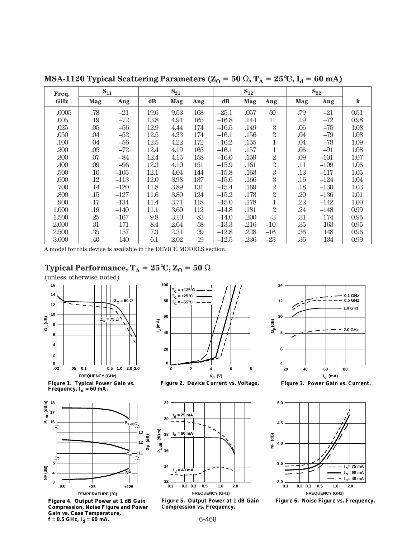| Freq.      | $S_{11}$ |        | $S_{21}$ |      |     | $S_{12}$ |      |                  | $S_{22}$ |        |         |
|------------|----------|--------|----------|------|-----|----------|------|------------------|----------|--------|---------|
| <b>GHz</b> | Mag      | Ang    | dB       | Mag  | Ang | dB       | Mag  | Ang              | Mag      | Ang    | $\bf k$ |
| .0005      | .78      | $-21$  | 19.6     | 9.53 | 168 | $-25.1$  | .057 | 50               | .79      | $-21$  | 0.51    |
| .005       | .19      | -72    | 13.8     | 4.91 | 165 | $-16.8$  | .144 | 11               | .19      | $-72$  | 0.98    |
| .025       | .05      | $-56$  | 12.9     | 4.44 | 174 | $-16.5$  | .149 | 3                | .06      | $-75$  | 1.08    |
| .050       | .04      | $-52$  | 12.5     | 4.23 | 174 | $-16.1$  | .156 | $\overline{2}$   | .04      | $-79$  | 1.08    |
| .100       | .04      | $-56$  | 12.5     | 4.22 | 172 | $-16.2$  | .155 | 1                | .04      | $-78$  | 1.09    |
| .200       | .05      | -72    | 12.4     | 4.19 | 165 | $-16.1$  | .157 | $\mathbf{1}$     | .06      | $-91$  | 1.08    |
| .300       | .07      | $-84$  | 12.4     | 4.15 | 158 | $-16.0$  | .159 | $\overline{2}$   | .09      | $-101$ | 1.07    |
| .400       | .09      | $-96$  | 12.3     | 4.10 | 151 | $-15.9$  | .161 | $\overline{2}$   | .11      | $-109$ | 1.06    |
| .500       | .10      | $-105$ | 12.1     | 4.04 | 144 | $-15.8$  | .163 | $\boldsymbol{3}$ | .13      | $-117$ | 1.05    |
| .600       | .12      | $-113$ | 12.0     | 3.98 | 137 | $-15.6$  | .166 | 3                | .16      | $-124$ | 1.04    |
| .700       | .14      | $-120$ | 11.8     | 3.89 | 131 | $-15.4$  | .169 | $\overline{2}$   | .18      | $-130$ | 1.03    |
| .800       | .15      | $-127$ | 11.6     | 3.80 | 124 | $-15.2$  | .173 | $\overline{2}$   | .20      | $-136$ | 1.01    |
| .900       | .17      | $-134$ | 11.4     | 3.71 | 118 | $-15.0$  | .178 | 1                | .22      | $-142$ | 1.00    |
| 1.000      | .19      | $-140$ | 11.1     | 3.60 | 112 | $-14.8$  | .181 | $\overline{2}$   | .24      | $-148$ | 0.99    |
| 1.500      | .25      | $-167$ | 9.8      | 3.10 | 83  | $-14.0$  | .200 | $-3$             | .31      | $-174$ | 0.95    |
| 2.000      | .31      | 171    | 8.4      | 2.64 | 58  | $-13.3$  | .216 | $-10$            | .35      | 163    | 0.95    |
| 2.500      | .35      | 157    | 7.3      | 2.31 | 39  | $-12.8$  | .228 | $-16$            | .36      | 148    | 0.96    |
| 3.000      | .40      | 140    | 6.1      | 2.02 | 19  | $-12.5$  | .236 | $-23$            | .36      | 134    | 0.99    |

**MSA-1120 Typical Scattering Parameters (** $Z_0 = 50 \Omega$ **,**  $T_A = 25^{\circ}C$ **,**  $I_d = 60 \text{ mA}$ **)** 

A model for this device is available in the DEVICE MODELS section.

# **Typical Performance,**  $T_A = 25$ **°C,**  $Z_0 = 50 \Omega$

(unless otherwise noted)



**Figure 1. Typical Power Gain vs.**  Frequency,  $\mathbf{I}_{\mathbf{d}} = 60 \text{ mA}.$ 



**Figure 4. Output Power at 1 dB Gain Compression, Noise Figure and Power Gain vs. Case Temperature,**   $f = 0.5$  GHz,  $I_d = 60$  mA.







**Figure 5. Output Power at 1 dB Gain Compression vs. Frequency.**



**Figure 3. Power Gain vs. Current.**